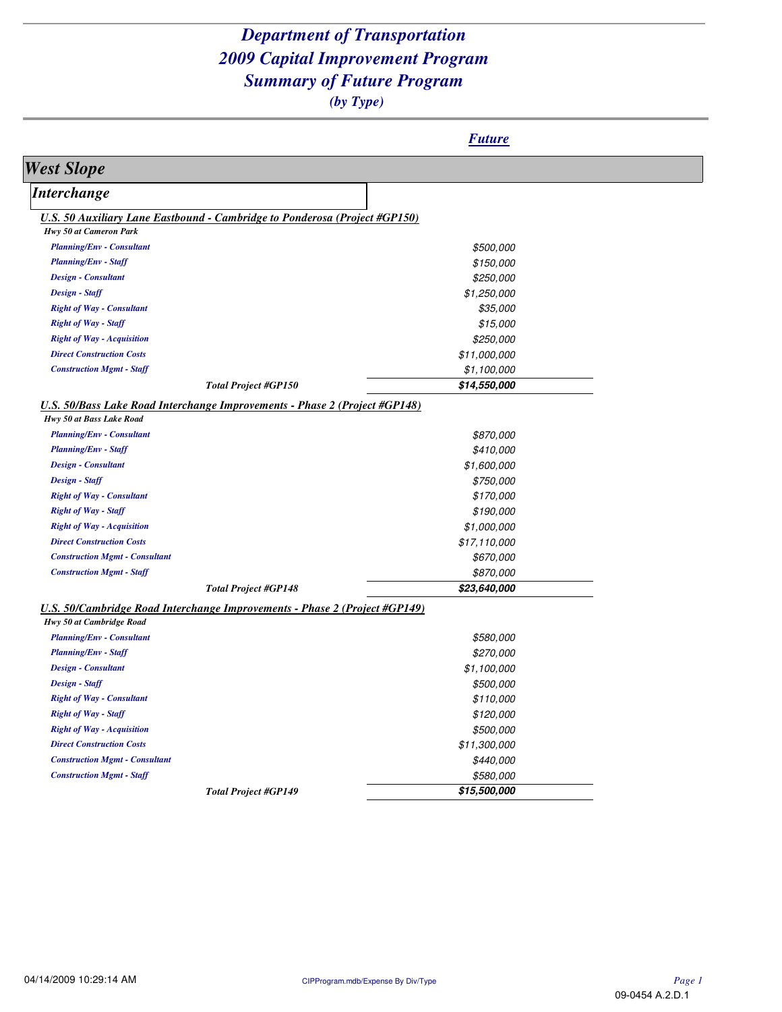|                                                                                                               | <b>Future</b> |
|---------------------------------------------------------------------------------------------------------------|---------------|
| <b>West Slope</b>                                                                                             |               |
| <i>Interchange</i>                                                                                            |               |
| <b>U.S. 50 Auxiliary Lane Eastbound - Cambridge to Ponderosa (Project #GP150)</b>                             |               |
| Hwy 50 at Cameron Park                                                                                        |               |
| <b>Planning/Env - Consultant</b>                                                                              | \$500,000     |
| <b>Planning/Env - Staff</b>                                                                                   | \$150,000     |
| <b>Design - Consultant</b>                                                                                    | \$250,000     |
| Design - Staff                                                                                                | \$1,250,000   |
| <b>Right of Way - Consultant</b>                                                                              | \$35,000      |
| <b>Right of Way - Staff</b>                                                                                   | \$15,000      |
| <b>Right of Way - Acquisition</b>                                                                             | \$250,000     |
| <b>Direct Construction Costs</b>                                                                              | \$11,000,000  |
| <b>Construction Mgmt - Staff</b>                                                                              | \$1,100,000   |
| <b>Total Project #GP150</b>                                                                                   | \$14,550,000  |
| <b>U.S. 50/Bass Lake Road Interchange Improvements - Phase 2 (Project #GP148)</b>                             |               |
| Hwy 50 at Bass Lake Road                                                                                      |               |
| <b>Planning/Env - Consultant</b>                                                                              | \$870,000     |
| <b>Planning/Env - Staff</b>                                                                                   | \$410,000     |
| <b>Design - Consultant</b>                                                                                    | \$1,600,000   |
| Design - Staff                                                                                                | \$750,000     |
| <b>Right of Way - Consultant</b>                                                                              | \$170,000     |
| <b>Right of Way - Staff</b>                                                                                   | \$190,000     |
| <b>Right of Way - Acquisition</b>                                                                             | \$1,000,000   |
| <b>Direct Construction Costs</b>                                                                              | \$17,110,000  |
| <b>Construction Mgmt - Consultant</b>                                                                         | \$670,000     |
| <b>Construction Mgmt - Staff</b>                                                                              | \$870,000     |
| <b>Total Project #GP148</b>                                                                                   | \$23,640,000  |
| <b>U.S. 50/Cambridge Road Interchange Improvements - Phase 2 (Project #GP149)</b><br>Hwy 50 at Cambridge Road |               |
| <b>Planning/Env - Consultant</b>                                                                              | \$580,000     |
| <b>Planning/Env - Staff</b>                                                                                   | \$270,000     |
| <b>Design - Consultant</b>                                                                                    | \$1,100,000   |
| Design - Staff                                                                                                | \$500,000     |
| <b>Right of Way - Consultant</b>                                                                              | \$110,000     |
| <b>Right of Way - Staff</b>                                                                                   | \$120,000     |
| <b>Right of Way - Acquisition</b>                                                                             | \$500,000     |
| <b>Direct Construction Costs</b>                                                                              | \$11,300,000  |
| <b>Construction Mgmt - Consultant</b>                                                                         | \$440,000     |
|                                                                                                               |               |
| <b>Construction Mgmt - Staff</b>                                                                              | \$580,000     |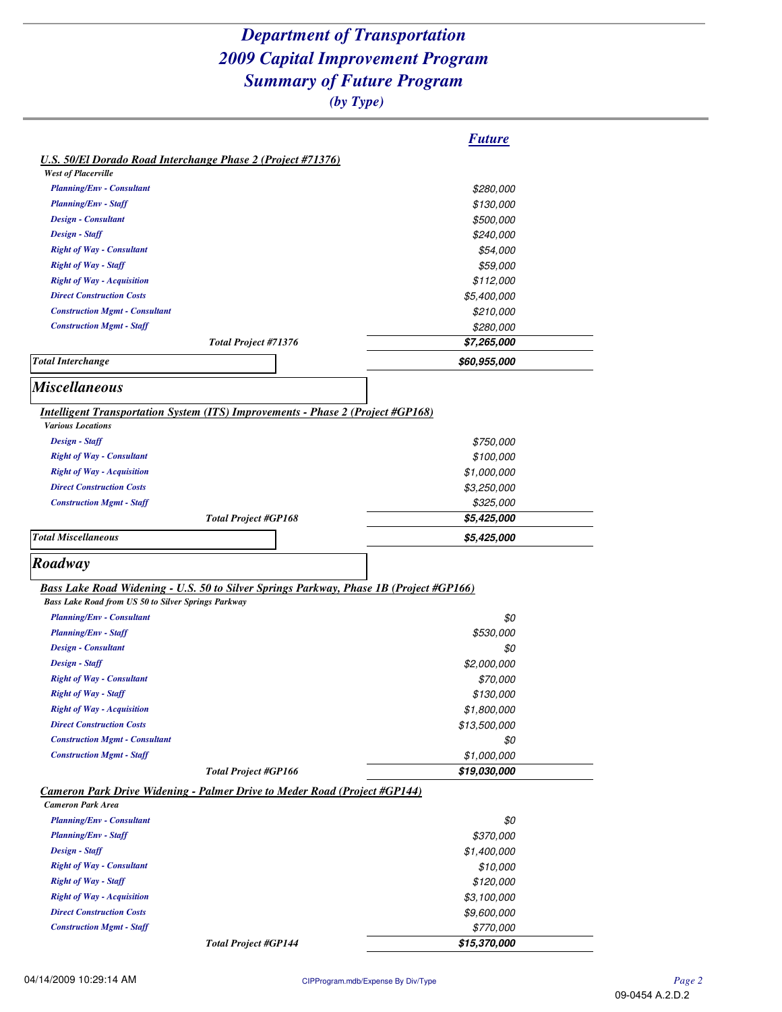|                                                                                        | <u><i><b>Future</b></i></u> |
|----------------------------------------------------------------------------------------|-----------------------------|
| <b>U.S. 50/El Dorado Road Interchange Phase 2 (Project #71376)</b>                     |                             |
| <b>West of Placerville</b>                                                             |                             |
| <b>Planning/Env - Consultant</b>                                                       | \$280,000                   |
| <b>Planning/Env - Staff</b>                                                            | \$130,000                   |
| <b>Design - Consultant</b>                                                             | \$500,000                   |
| Design - Staff                                                                         | \$240,000                   |
| <b>Right of Way - Consultant</b>                                                       | \$54,000                    |
| <b>Right of Way - Staff</b>                                                            | \$59,000                    |
| <b>Right of Way - Acquisition</b>                                                      | \$112,000                   |
| <b>Direct Construction Costs</b>                                                       | \$5,400,000                 |
| <b>Construction Mgmt - Consultant</b>                                                  | \$210,000                   |
| <b>Construction Mgmt - Staff</b>                                                       | \$280,000                   |
| Total Project #71376                                                                   | <i><b>\$7,265,000</b></i>   |
| <b>Total Interchange</b>                                                               | \$60,955,000                |
|                                                                                        |                             |
| <b>Miscellaneous</b>                                                                   |                             |
| <b>Intelligent Transportation System (ITS) Improvements - Phase 2 (Project #GP168)</b> |                             |
| <b>Various Locations</b>                                                               |                             |
| Design - Staff                                                                         | \$750,000                   |
| <b>Right of Way - Consultant</b>                                                       | \$100,000                   |
| <b>Right of Way - Acquisition</b>                                                      | \$1,000,000                 |
| <b>Direct Construction Costs</b>                                                       | \$3,250,000                 |
| <b>Construction Mgmt - Staff</b>                                                       | \$325,000                   |
| <b>Total Project #GP168</b>                                                            | \$5,425,000                 |
| <b>Total Miscellaneous</b>                                                             |                             |
|                                                                                        | \$5,425,000                 |
| Roadway                                                                                |                             |
|                                                                                        |                             |
| Bass Lake Road Widening - U.S. 50 to Silver Springs Parkway, Phase 1B (Project #GP166) |                             |
| <b>Bass Lake Road from US 50 to Silver Springs Parkway</b>                             |                             |
| <b>Planning/Env - Consultant</b>                                                       | \$0                         |
| <b>Planning/Env - Staff</b>                                                            | \$530,000                   |
| <b>Design - Consultant</b>                                                             | \$0                         |
| Design - Staff                                                                         | \$2,000,000                 |
| <b>Right of Way - Consultant</b>                                                       | \$70,000                    |
| <b>Right of Way - Staff</b>                                                            | \$130,000                   |
| <b>Right of Way - Acquisition</b>                                                      | \$1,800,000                 |
| <b>Direct Construction Costs</b>                                                       | \$13,500,000                |
| <b>Construction Mgmt - Consultant</b>                                                  | \$0                         |
| <b>Construction Mgmt - Staff</b>                                                       | \$1,000,000                 |
| <b>Total Project #GP166</b>                                                            | \$19,030,000                |
| Cameron Park Drive Widening - Palmer Drive to Meder Road (Project #GP144)              |                             |
| <b>Cameron Park Area</b>                                                               |                             |
|                                                                                        |                             |
| <b>Planning/Env - Consultant</b>                                                       | \$0                         |
| <b>Planning/Env - Staff</b>                                                            | \$370,000                   |
| Design - Staff                                                                         | \$1,400,000                 |
| <b>Right of Way - Consultant</b>                                                       | \$10,000                    |
| <b>Right of Way - Staff</b>                                                            | \$120,000                   |
| <b>Right of Way - Acquisition</b>                                                      | \$3,100,000                 |
| <b>Direct Construction Costs</b>                                                       | \$9,600,000                 |
| <b>Construction Mgmt - Staff</b>                                                       | \$770,000                   |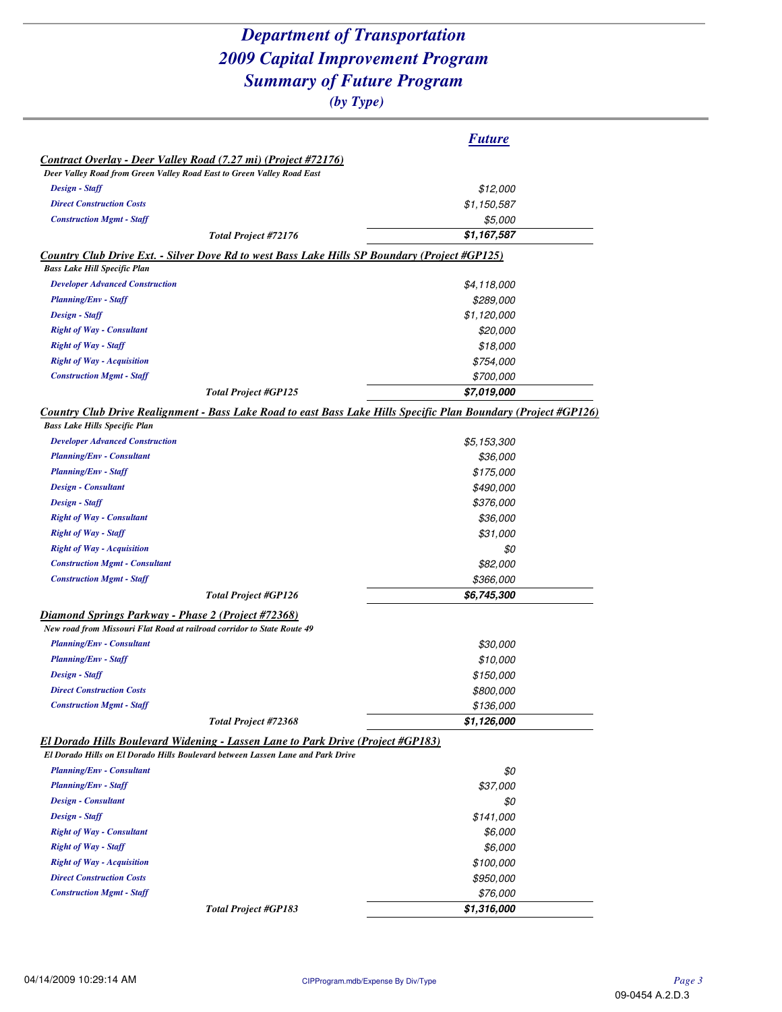|                                                                                                                                                                           | <b>Future</b>           |
|---------------------------------------------------------------------------------------------------------------------------------------------------------------------------|-------------------------|
| Contract Overlay - Deer Valley Road (7.27 mi) (Project #72176)                                                                                                            |                         |
| Deer Valley Road from Green Valley Road East to Green Valley Road East                                                                                                    |                         |
| Design - Staff                                                                                                                                                            | \$12,000                |
| <b>Direct Construction Costs</b>                                                                                                                                          | \$1,150,587             |
| <b>Construction Mgmt - Staff</b>                                                                                                                                          | \$5,000                 |
| Total Project #72176                                                                                                                                                      | \$1,167,587             |
| <b>Country Club Drive Ext. - Silver Dove Rd to west Bass Lake Hills SP Boundary (Project #GP125)</b>                                                                      |                         |
| <b>Bass Lake Hill Specific Plan</b>                                                                                                                                       |                         |
| <b>Developer Advanced Construction</b>                                                                                                                                    | \$4,118,000             |
| <b>Planning/Env - Staff</b>                                                                                                                                               | \$289,000               |
| Design - Staff                                                                                                                                                            | \$1,120,000             |
| <b>Right of Way - Consultant</b>                                                                                                                                          | \$20,000                |
| <b>Right of Way - Staff</b>                                                                                                                                               | \$18,000                |
| <b>Right of Way - Acquisition</b>                                                                                                                                         | \$754,000               |
| <b>Construction Mgmt - Staff</b>                                                                                                                                          | <i><b>\$700,000</b></i> |
| <b>Total Project #GP125</b>                                                                                                                                               | \$7,019,000             |
|                                                                                                                                                                           |                         |
| Country Club Drive Realignment - Bass Lake Road to east Bass Lake Hills Specific Plan Boundary (Project #GP126)<br><b>Bass Lake Hills Specific Plan</b>                   |                         |
| <b>Developer Advanced Construction</b>                                                                                                                                    | \$5,153,300             |
| <b>Planning/Env - Consultant</b>                                                                                                                                          | \$36,000                |
| <b>Planning/Env - Staff</b>                                                                                                                                               | \$175,000               |
| <b>Design - Consultant</b>                                                                                                                                                | \$490,000               |
| Design - Staff                                                                                                                                                            | \$376,000               |
| <b>Right of Way - Consultant</b>                                                                                                                                          |                         |
| <b>Right of Way - Staff</b>                                                                                                                                               | \$36,000                |
| <b>Right of Way - Acquisition</b>                                                                                                                                         | \$31,000                |
| <b>Construction Mgmt - Consultant</b>                                                                                                                                     | \$0                     |
| <b>Construction Mgmt - Staff</b>                                                                                                                                          | \$82,000                |
|                                                                                                                                                                           | \$366,000               |
| <b>Total Project #GP126</b>                                                                                                                                               | \$6,745,300             |
| Diamond Springs Parkway - Phase 2 (Project #72368)<br>New road from Missouri Flat Road at railroad corridor to State Route 49                                             |                         |
| <b>Planning/Env - Consultant</b>                                                                                                                                          | \$30,000                |
| <b>Planning/Env - Staff</b>                                                                                                                                               | \$10,000                |
| Design - Staff                                                                                                                                                            | \$150,000               |
| <b>Direct Construction Costs</b>                                                                                                                                          | \$800,000               |
| <b>Construction Mgmt - Staff</b>                                                                                                                                          | \$136,000               |
| Total Project #72368                                                                                                                                                      | \$1,126,000             |
| <b>El Dorado Hills Boulevard Widening - Lassen Lane to Park Drive (Project #GP183)</b><br>El Dorado Hills on El Dorado Hills Boulevard between Lassen Lane and Park Drive |                         |
| <b>Planning/Env - Consultant</b>                                                                                                                                          |                         |
|                                                                                                                                                                           | \$0                     |
|                                                                                                                                                                           |                         |
| <b>Planning/Env - Staff</b>                                                                                                                                               | \$37,000                |
| Design - Consultant                                                                                                                                                       | \$0                     |
| Design - Staff                                                                                                                                                            | \$141,000               |
| <b>Right of Way - Consultant</b>                                                                                                                                          | \$6,000                 |
| <b>Right of Way - Staff</b>                                                                                                                                               | \$6,000                 |
| <b>Right of Way - Acquisition</b>                                                                                                                                         | \$100,000               |
| <b>Direct Construction Costs</b><br><b>Construction Mgmt - Staff</b>                                                                                                      | \$950,000<br>\$76,000   |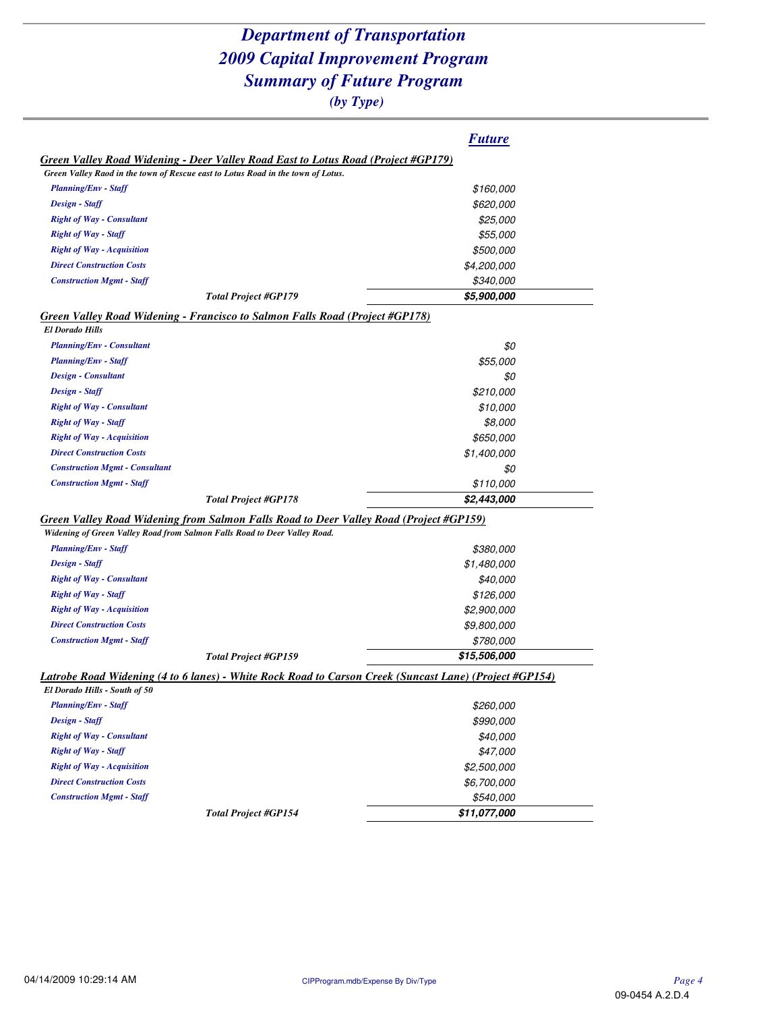|                                                                                                                                                                                                                                                                        | <b>Future</b>            |
|------------------------------------------------------------------------------------------------------------------------------------------------------------------------------------------------------------------------------------------------------------------------|--------------------------|
| Green Valley Road Widening - Deer Valley Road East to Lotus Road (Project #GP179)                                                                                                                                                                                      |                          |
| Green Valley Raod in the town of Rescue east to Lotus Road in the town of Lotus.                                                                                                                                                                                       |                          |
| <b>Planning/Env - Staff</b>                                                                                                                                                                                                                                            | \$160,000                |
| Design - Staff                                                                                                                                                                                                                                                         | \$620,000                |
| <b>Right of Way - Consultant</b>                                                                                                                                                                                                                                       | \$25,000                 |
| <b>Right of Way - Staff</b>                                                                                                                                                                                                                                            | \$55,000                 |
| <b>Right of Way - Acquisition</b>                                                                                                                                                                                                                                      | \$500,000                |
| <b>Direct Construction Costs</b>                                                                                                                                                                                                                                       | \$4,200,000              |
| <b>Construction Mgmt - Staff</b>                                                                                                                                                                                                                                       | \$340,000                |
| <b>Total Project #GP179</b>                                                                                                                                                                                                                                            | \$5,900,000              |
| Green Valley Road Widening - Francisco to Salmon Falls Road (Project #GP178)                                                                                                                                                                                           |                          |
| <b>El Dorado Hills</b>                                                                                                                                                                                                                                                 |                          |
| <b>Planning/Env - Consultant</b>                                                                                                                                                                                                                                       | \$0                      |
| <b>Planning/Env - Staff</b>                                                                                                                                                                                                                                            | <i><b>\$55,000</b></i>   |
| Design - Consultant                                                                                                                                                                                                                                                    | \$0                      |
| Design - Staff                                                                                                                                                                                                                                                         | \$210,000                |
| <b>Right of Way - Consultant</b>                                                                                                                                                                                                                                       | \$10,000                 |
| <b>Right of Way - Staff</b>                                                                                                                                                                                                                                            | \$8,000                  |
| <b>Right of Way - Acquisition</b>                                                                                                                                                                                                                                      | \$650,000                |
| <b>Direct Construction Costs</b>                                                                                                                                                                                                                                       | \$1,400,000              |
| <b>Construction Mgmt - Consultant</b>                                                                                                                                                                                                                                  | \$0                      |
|                                                                                                                                                                                                                                                                        |                          |
| <b>Construction Mgmt - Staff</b>                                                                                                                                                                                                                                       | \$110,000                |
| <b>Total Project #GP178</b>                                                                                                                                                                                                                                            | \$2,443,000              |
|                                                                                                                                                                                                                                                                        |                          |
|                                                                                                                                                                                                                                                                        |                          |
| <b>Planning/Env - Staff</b>                                                                                                                                                                                                                                            | \$380,000                |
| Design - Staff                                                                                                                                                                                                                                                         | \$1,480,000              |
| Widening of Green Valley Road from Salmon Falls Road to Deer Valley Road.<br><b>Right of Way - Consultant</b>                                                                                                                                                          | \$40,000                 |
| <b>Right of Way - Staff</b>                                                                                                                                                                                                                                            | \$126,000                |
| <b>Right of Way - Acquisition</b>                                                                                                                                                                                                                                      | \$2,900,000              |
| <b>Direct Construction Costs</b>                                                                                                                                                                                                                                       | \$9,800,000              |
| <b>Construction Mgmt - Staff</b>                                                                                                                                                                                                                                       | \$780,000                |
| <b>Total Project #GP159</b>                                                                                                                                                                                                                                            | \$15,506,000             |
|                                                                                                                                                                                                                                                                        |                          |
|                                                                                                                                                                                                                                                                        |                          |
| <b>Planning/Env - Staff</b>                                                                                                                                                                                                                                            | \$260,000                |
| Design - Staff                                                                                                                                                                                                                                                         | \$990,000                |
| <b>Right of Way - Consultant</b>                                                                                                                                                                                                                                       | \$40,000                 |
| <b>Right of Way - Staff</b>                                                                                                                                                                                                                                            | \$47,000                 |
| Green Valley Road Widening from Salmon Falls Road to Deer Valley Road (Project #GP159)<br>Latrobe Road Widening (4 to 6 lanes) - White Rock Road to Carson Creek (Suncast Lane) (Project #GP154)<br>El Dorado Hills - South of 50<br><b>Right of Way - Acquisition</b> | \$2,500,000              |
| <b>Direct Construction Costs</b><br><b>Construction Mgmt - Staff</b>                                                                                                                                                                                                   | \$6,700,000<br>\$540,000 |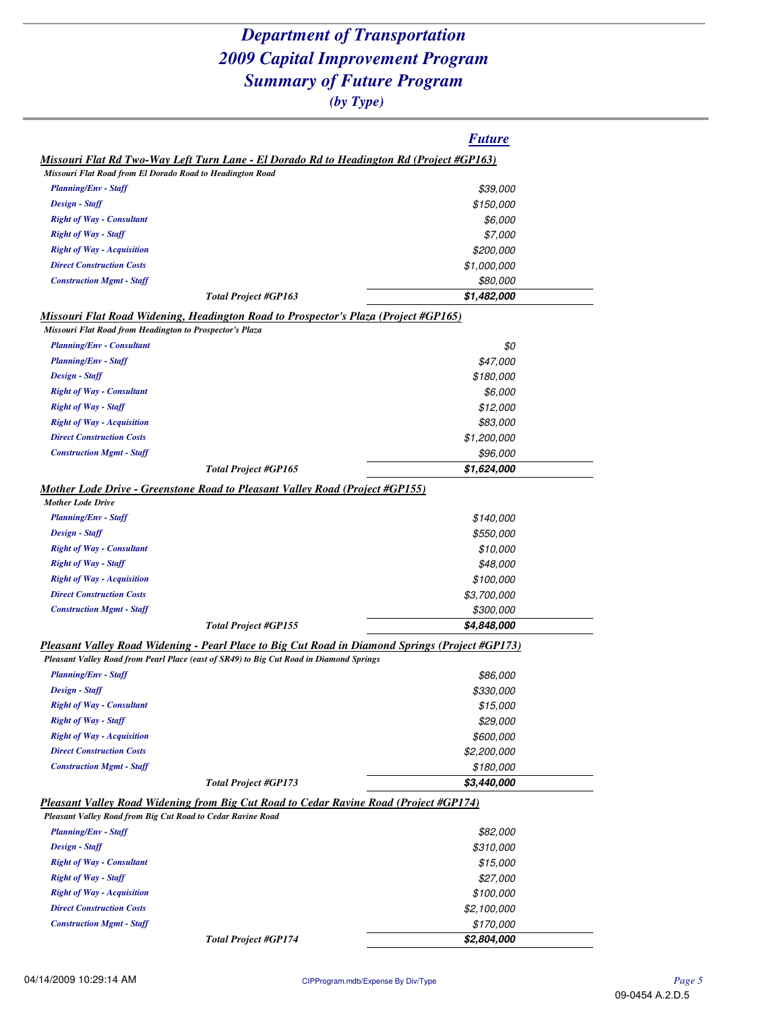|                                                                                                                                                 | <b>Future</b>       |
|-------------------------------------------------------------------------------------------------------------------------------------------------|---------------------|
| <u>Missouri Flat Rd Two-Way Left Turn Lane - El Dorado Rd to Headington Rd (Project #GP163)</u>                                                 |                     |
| Missouri Flat Road from El Dorado Road to Headington Road                                                                                       |                     |
| <b>Planning/Env - Staff</b>                                                                                                                     | \$39,000            |
| Design - Staff                                                                                                                                  | \$150,000           |
| <b>Right of Way - Consultant</b>                                                                                                                | \$6,000             |
| <b>Right of Way - Staff</b>                                                                                                                     | \$7,000             |
| <b>Right of Way - Acquisition</b>                                                                                                               | \$200,000           |
| <b>Direct Construction Costs</b>                                                                                                                | \$1,000,000         |
| <b>Construction Mgmt - Staff</b>                                                                                                                | \$80,000            |
| <b>Total Project #GP163</b>                                                                                                                     | \$1,482,000         |
| Missouri Flat Road Widening, Headington Road to Prospector's Plaza (Project #GP165)<br>Missouri Flat Road from Headington to Prospector's Plaza |                     |
| <b>Planning/Env - Consultant</b>                                                                                                                | \$0                 |
| <b>Planning/Env - Staff</b>                                                                                                                     | \$47,000            |
| Design - Staff                                                                                                                                  | \$180,000           |
| <b>Right of Way - Consultant</b>                                                                                                                |                     |
| <b>Right of Way - Staff</b>                                                                                                                     | \$6,000<br>\$12,000 |
| <b>Right of Way - Acquisition</b>                                                                                                               | \$83,000            |
| <b>Direct Construction Costs</b>                                                                                                                | \$1,200,000         |
| <b>Construction Mgmt - Staff</b>                                                                                                                | \$96,000            |
| <b>Total Project #GP165</b>                                                                                                                     | \$1,624,000         |
|                                                                                                                                                 |                     |
| Mother Lode Drive - Greenstone Road to Pleasant Valley Road (Project #GP155)<br><b>Mother Lode Drive</b>                                        |                     |
| <b>Planning/Env - Staff</b>                                                                                                                     | \$140,000           |
| Design - Staff                                                                                                                                  | \$550,000           |
| <b>Right of Way - Consultant</b>                                                                                                                | \$10,000            |
| <b>Right of Way - Staff</b>                                                                                                                     | \$48,000            |
| <b>Right of Way - Acquisition</b>                                                                                                               | \$100,000           |
| <b>Direct Construction Costs</b>                                                                                                                | <i>\$3,700,000</i>  |
| <b>Construction Mgmt - Staff</b>                                                                                                                | \$300,000           |
| <b>Total Project #GP155</b>                                                                                                                     | \$4,848,000         |
| Pleasant Valley Road Widening - Pearl Place to Big Cut Road in Diamond Springs (Project #GP173)                                                 |                     |
| Pleasant Valley Road from Pearl Place (east of SR49) to Big Cut Road in Diamond Springs                                                         |                     |
| <b>Planning/Env - Staff</b>                                                                                                                     | \$86,000            |
| Design - Staff                                                                                                                                  | \$330,000           |
| <b>Right of Way - Consultant</b>                                                                                                                | \$15,000            |
| <b>Right of Way - Staff</b>                                                                                                                     | \$29,000            |
| <b>Right of Way - Acquisition</b>                                                                                                               | \$600,000           |
| <b>Direct Construction Costs</b>                                                                                                                | \$2,200,000         |
| <b>Construction Mgmt - Staff</b>                                                                                                                | \$180,000           |
| <b>Total Project #GP173</b>                                                                                                                     | \$3,440,000         |
| Pleasant Valley Road Widening from Big Cut Road to Cedar Ravine Road (Project #GP174)                                                           |                     |
| Pleasant Valley Road from Big Cut Road to Cedar Ravine Road                                                                                     |                     |
| <b>Planning/Env - Staff</b>                                                                                                                     | \$82,000            |
| Design - Staff                                                                                                                                  | \$310,000           |
| <b>Right of Way - Consultant</b>                                                                                                                | \$15,000            |
| <b>Right of Way - Staff</b>                                                                                                                     | \$27,000            |
| <b>Right of Way - Acquisition</b>                                                                                                               | \$100,000           |
| <b>Direct Construction Costs</b>                                                                                                                | \$2,100,000         |
| <b>Construction Mgmt - Staff</b>                                                                                                                | \$170,000           |
| <b>Total Project #GP174</b>                                                                                                                     | \$2,804,000         |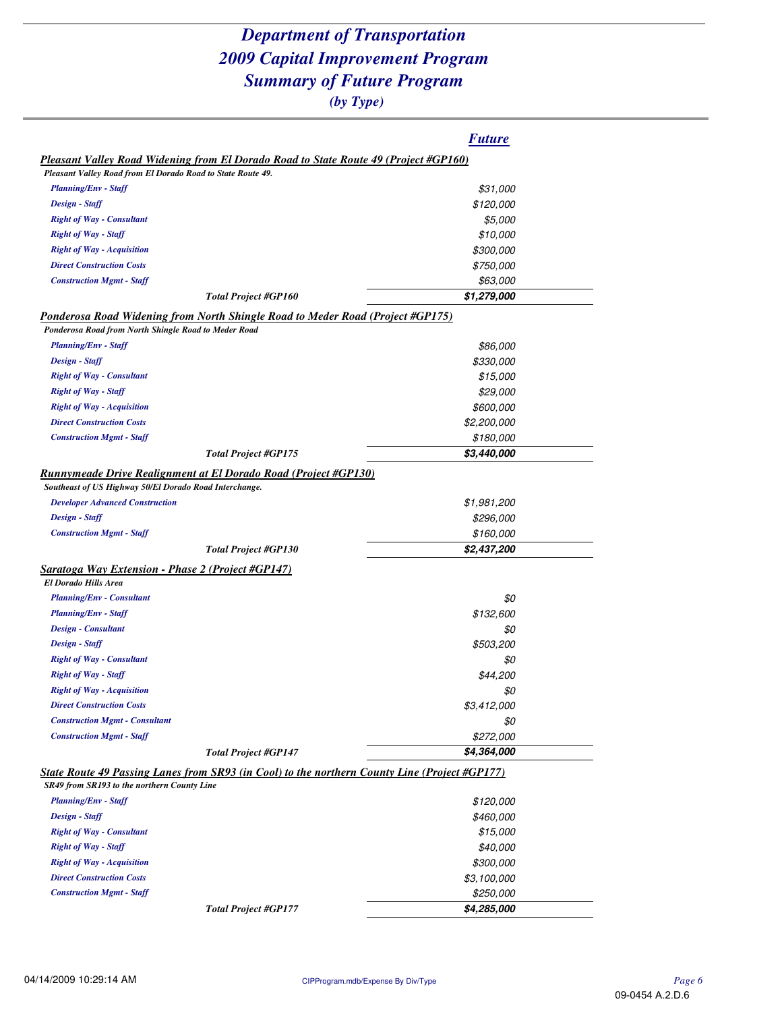|                                                                                               | <b>Future</b>           |
|-----------------------------------------------------------------------------------------------|-------------------------|
| <b>Pleasant Valley Road Widening from El Dorado Road to State Route 49 (Project #GP160)</b>   |                         |
| Pleasant Valley Road from El Dorado Road to State Route 49.                                   |                         |
| <b>Planning/Env - Staff</b>                                                                   | \$31,000                |
| Design - Staff                                                                                | \$120,000               |
| <b>Right of Way - Consultant</b>                                                              | \$5,000                 |
| <b>Right of Way - Staff</b>                                                                   | \$10,000                |
| <b>Right of Way - Acquisition</b>                                                             | \$300,000               |
| <b>Direct Construction Costs</b>                                                              | <i><b>\$750,000</b></i> |
| <b>Construction Mgmt - Staff</b>                                                              | \$63,000                |
| <b>Total Project #GP160</b>                                                                   | \$1,279,000             |
| Ponderosa Road Widening from North Shingle Road to Meder Road (Project #GP175)                |                         |
| Ponderosa Road from North Shingle Road to Meder Road                                          |                         |
| <b>Planning/Env - Staff</b>                                                                   | \$86,000                |
| Design - Staff                                                                                | \$330,000               |
| <b>Right of Way - Consultant</b>                                                              | \$15,000                |
| <b>Right of Way - Staff</b>                                                                   | \$29,000                |
| <b>Right of Way - Acquisition</b>                                                             | \$600,000               |
| <b>Direct Construction Costs</b>                                                              | \$2,200,000             |
| <b>Construction Mgmt - Staff</b>                                                              | \$180,000               |
| <b>Total Project #GP175</b>                                                                   | \$3,440,000             |
| <b>Runnymeade Drive Realignment at El Dorado Road (Project #GP130)</b>                        |                         |
| Southeast of US Highway 50/El Dorado Road Interchange.                                        |                         |
| <b>Developer Advanced Construction</b>                                                        | \$1,981,200             |
| Design - Staff                                                                                | \$296,000               |
| <b>Construction Mgmt - Staff</b>                                                              | \$160,000               |
| <b>Total Project #GP130</b>                                                                   | \$2,437,200             |
| Saratoga Way Extension - Phase 2 (Project #GP147)                                             |                         |
| <b>El Dorado Hills Area</b>                                                                   |                         |
| <b>Planning/Env - Consultant</b>                                                              | \$0                     |
| <b>Planning/Env - Staff</b>                                                                   | \$132,600               |
| Design - Consultant                                                                           | \$0                     |
| Design - Staff                                                                                | \$503,200               |
| <b>Right of Way - Consultant</b>                                                              | \$0                     |
| <b>Right of Way - Staff</b>                                                                   | \$44,200                |
| <b>Right of Way - Acquisition</b>                                                             | \$0                     |
| <b>Direct Construction Costs</b>                                                              | \$3,412,000             |
| <b>Construction Mgmt - Consultant</b>                                                         | \$0                     |
| <b>Construction Mgmt - Staff</b>                                                              | \$272,000               |
| <b>Total Project #GP147</b>                                                                   | \$4,364,000             |
| State Route 49 Passing Lanes from SR93 (in Cool) to the northern County Line (Project #GP177) |                         |
| SR49 from SR193 to the northern County Line                                                   |                         |
| <b>Planning/Env - Staff</b>                                                                   | \$120,000               |
| Design - Staff                                                                                | \$460,000               |
| <b>Right of Way - Consultant</b>                                                              | \$15,000                |
| <b>Right of Way - Staff</b>                                                                   | \$40,000                |
| <b>Right of Way - Acquisition</b>                                                             | <i><b>\$300,000</b></i> |
| <b>Direct Construction Costs</b>                                                              | \$3,100,000             |
| <b>Construction Mgmt - Staff</b>                                                              | \$250,000               |
| <b>Total Project #GP177</b>                                                                   | \$4,285,000             |